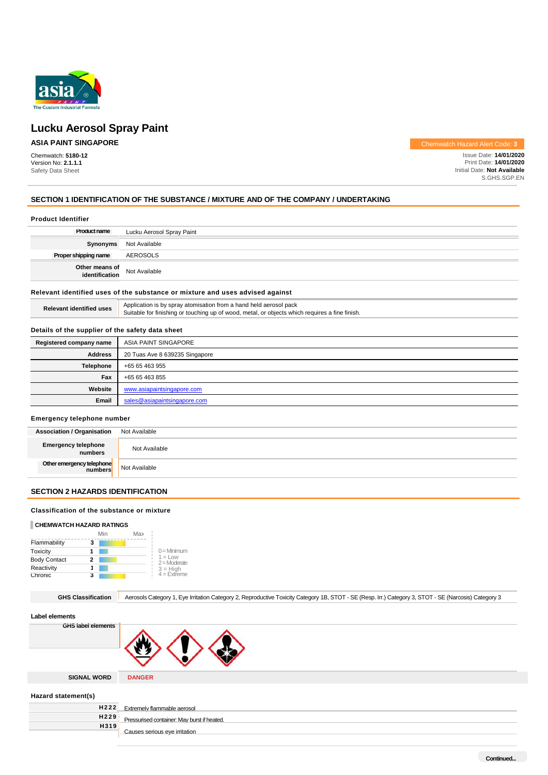

Chemwatch: **5180-12**  Version No: **2.1.1.1**  Safety Data Sheet

**ASIA PAINT SINGAPORE Chemwatch Hazard Alert Code: 3** 

Issue Date: **14/01/2020**  Print Date: **14/01/2020**  Initial Date: **Not Available**  S.GHS.SGP.EN

# **SECTION 1 IDENTIFICATION OF THE SUBSTANCE / MIXTURE AND OF THE COMPANY / UNDERTAKING**

| <b>Product Identifier</b>                                                     |                                                                                                                                                                     |  |  |
|-------------------------------------------------------------------------------|---------------------------------------------------------------------------------------------------------------------------------------------------------------------|--|--|
| <b>Product name</b>                                                           | Lucku Aerosol Spray Paint                                                                                                                                           |  |  |
| Synonyms                                                                      | Not Available                                                                                                                                                       |  |  |
| Proper shipping name                                                          | AEROSOLS                                                                                                                                                            |  |  |
| Other means of<br>identification                                              | Not Available                                                                                                                                                       |  |  |
| Relevant identified uses of the substance or mixture and uses advised against |                                                                                                                                                                     |  |  |
| <b>Relevant identified uses</b>                                               | Application is by spray atomisation from a hand held aerosol pack<br>Suitable for finishing or touching up of wood, metal, or objects which requires a fine finish. |  |  |
|                                                                               |                                                                                                                                                                     |  |  |

# **Details of the supplier of the safety data sheet**

| Registered company name | ASIA PAINT SINGAPORE           |
|-------------------------|--------------------------------|
| <b>Address</b>          | 20 Tuas Ave 8 639235 Singapore |
| <b>Telephone</b>        | +65 65 463 955                 |
| Fax                     | +65 65 463 855                 |
| Website                 | www.asiapaintsingapore.com     |
| Email                   | sales@asiapaintsingapore.com   |

# **Emergency telephone number**

| <b>Association / Organisation</b>     | Not Available |
|---------------------------------------|---------------|
| <b>Emergency telephone</b><br>numbers | Not Available |
| Other emergency telephone<br>numbers  | Not Available |

# **SECTION 2 HAZARDS IDENTIFICATION**

# **Classification of the substance or mixture**

# **CHEMWATCH HAZARD RATINGS**

|                     | Min | Max |                             |
|---------------------|-----|-----|-----------------------------|
| Flammability        | 3   |     |                             |
| Toxicity            |     |     | $0 =$ Minimum               |
| <b>Body Contact</b> | 2   |     | $1 = Low$<br>$2 =$ Moderate |
| Reactivity          |     |     | $3 = High$<br>$4 = Extreme$ |
| Chronic             |     |     |                             |

GHS Classification **Aerosols Category 1, Eye Irritation Category 2, Reproductive Toxicity Category 1B, STOT - SE (Resp. Irr.) Category 3, STOT - SE (Narcosis) Category 3** 

# **Label elements**

| GHS label elements |               |
|--------------------|---------------|
| <b>SIGNAL WORD</b> | <b>DANGER</b> |

**Hazard statement(s)** 

| Extremely flammable aerosol                      |
|--------------------------------------------------|
| H229 Pressurised container: May burst if heated. |
|                                                  |
| Causes serious eve irritation                    |
|                                                  |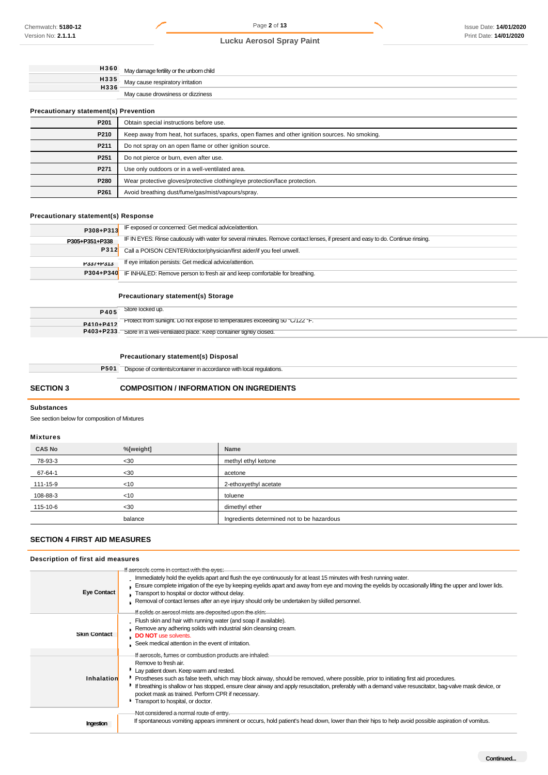|                                              | 1360 May damage fertility or the unborn child |  |
|----------------------------------------------|-----------------------------------------------|--|
| H335                                         | May cause respiratory irritation              |  |
| H336                                         | May cause drowsiness or dizziness             |  |
| <b>Precautionary statement(s) Prevention</b> |                                               |  |
| P201                                         | Obtain special instructions before use.       |  |
|                                              |                                               |  |

| P210             | Keep away from heat, hot surfaces, sparks, open flames and other ignition sources. No smoking. |  |
|------------------|------------------------------------------------------------------------------------------------|--|
| P <sub>211</sub> | Do not spray on an open flame or other ignition source.                                        |  |
| P <sub>251</sub> | Do not pierce or burn, even after use.                                                         |  |
| P <sub>271</sub> | Use only outdoors or in a well-ventilated area.                                                |  |
| P280             | Wear protective gloves/protective clothing/eye protection/face protection.                     |  |
| P <sub>261</sub> | Avoid breathing dust/fume/gas/mist/vapours/spray.                                              |  |

# **Precautionary statement(s) Response**

| P308+P313      | IF exposed or concerned: Get medical advice/attention.                                                                           |
|----------------|----------------------------------------------------------------------------------------------------------------------------------|
| P305+P351+P338 | IF IN EYES: Rinse cautiously with water for several minutes. Remove contact lenses, if present and easy to do. Continue rinsing. |
|                | P312 Call a POISON CENTER/doctor/physician/first aider/if you feel unwell.                                                       |
| P337+P313      | If eye irritation persists: Get medical advice/attention.                                                                        |
|                | <b>P304+P340</b> IF INHALED: Remove person to fresh air and keep comfortable for breathing.                                      |

# **Precautionary statement(s) Storage**

|           | $P$ 405 Store locked up.                                                     |
|-----------|------------------------------------------------------------------------------|
| P410+P412 | Protect from sunlight. Do not expose to temperatures exceeding 50 °C/122 °F. |
|           | P403+P233 Store in a well-ventilated place. Keep container tightly closed.   |

# **Precautionary statement(s) Disposal**

| P501    | Dispose of contents/container in accordance with local regulations. |
|---------|---------------------------------------------------------------------|
| _______ |                                                                     |

# **SECTION 3 COMPOSITION / INFORMATION ON INGREDIENTS**

# **Substances**

See section below for composition of Mixtures

# **Mixtures**

| <b>CAS No</b> | %[weight] | Name                                       |
|---------------|-----------|--------------------------------------------|
| 78-93-3       | $30$      | methyl ethyl ketone                        |
| 67-64-1       | $30$      | acetone                                    |
| 111-15-9      | < 10      | 2-ethoxyethyl acetate                      |
| 108-88-3      | <10       | toluene                                    |
| 115-10-6      | $30$      | dimethyl ether                             |
|               | balance   | Ingredients determined not to be hazardous |

# **SECTION 4 FIRST AID MEASURES**

# **Description of first aid measures**

|                     | If aerosols come in contact with the eyes:                                                                                                                                                                                                                                                                                                                                                                                                                                                                                   |
|---------------------|------------------------------------------------------------------------------------------------------------------------------------------------------------------------------------------------------------------------------------------------------------------------------------------------------------------------------------------------------------------------------------------------------------------------------------------------------------------------------------------------------------------------------|
| <b>Eye Contact</b>  | . Immediately hold the eyelids apart and flush the eye continuously for at least 15 minutes with fresh running water.<br>Ensure complete irrigation of the eye by keeping eyelids apart and away from eye and moving the eyelids by occasionally lifting the upper and lower lids.<br>Transport to hospital or doctor without delay.<br>Removal of contact lenses after an eye injury should only be undertaken by skilled personnel.<br>If solids or aerosol mists are deposited upon the skin:                             |
| <b>Skin Contact</b> | Flush skin and hair with running water (and soap if available).<br>Remove any adhering solids with industrial skin cleansing cream.<br><b>DO NOT</b> use solvents.<br>Seek medical attention in the event of irritation.                                                                                                                                                                                                                                                                                                     |
| Inhalation          | If aeresels, fumes or combustion products are inhaled:<br>Remove to fresh air.<br>" Lay patient down. Keep warm and rested.<br>Prostheses such as false teeth, which may block airway, should be removed, where possible, prior to initiating first aid procedures.<br>If breathing is shallow or has stopped, ensure clear airway and apply resuscitation, preferably with a demand valve resuscitator, bag-valve mask device, or<br>pocket mask as trained. Perform CPR if necessary.<br>Transport to hospital, or doctor. |
| Ingestion           | Not considered a normal route of entry.<br>If spontaneous vomiting appears imminent or occurs, hold patient's head down, lower than their hips to help avoid possible aspiration of vomitus.                                                                                                                                                                                                                                                                                                                                 |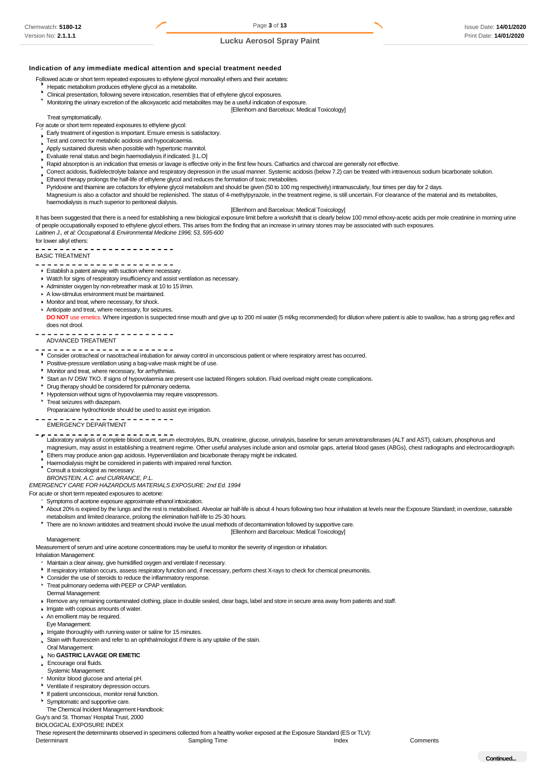#### **Indication of any immediate medical attention and special treatment needed**

Followed acute or short term repeated exposures to ethylene glycol monoalkyl ethers and their acetates:

- Hepatic metabolism produces ethylene glycol as a metabolite.
- Clinical presentation, following severe intoxication, resembles that of ethylene glycol exposures.
- Monitoring the urinary excretion of the alkoxyacetic acid metabolites may be a useful indication of exposure. [Ellenhorn and Barceloux: Medical Toxicology]

#### Treat symptomatically.

- For acute or short term repeated exposures to ethylene glycol:
	- Early treatment of ingestion is important. Ensure emesis is satisfactory.
	- Test and correct for metabolic acidosis and hypocalcaemia.
	- Apply sustained diuresis when possible with hypertonic mannitol.
	- Evaluate renal status and begin haemodialysis if indicated. [I.L.O]
	- Rapid absorption is an indication that emesis or lavage is effective only in the first few hours. Cathartics and charcoal are generally not effective.
	- Correct acidosis, fluid/electrolyte balance and respiratory depression in the usual manner. Systemic acidosis (below 7.2) can be treated with intravenous sodium bicarbonate solution.
	- Ethanol therapy prolongs the half-life of ethylene glycol and reduces the formation of toxic metabolites.
	- Pyridoxine and thiamine are cofactors for ethylene glycol metabolism and should be given (50 to 100 mg respectively) intramuscularly, four times per day for 2 days.
	- Magnesium is also a cofactor and should be replenished. The status of 4-methylpyrazole, in the treatment regime, is still uncertain. For clearance of the material and its metabolites, haemodialysis is much superior to peritoneal dialysis.

#### [Ellenhorn and Barceloux: Medical Toxicology]

It has been suggested that there is a need for establishing a new biological exposure limit before a workshift that is clearly below 100 mmol ethoxy-acetic acids per mole creatinine in morning urine of people occupationally exposed to ethylene glycol ethers. This arises from the finding that an increase in urinary stones may be associated with such exposures. *Laitinen J., et al: Occupational & Environmental Medicine 1996; 53, 595-600*  for lower alkyl ethers:

-------------

# BASIC TREATMENT

- . . . . . . . . . . . . . . **Establish a patent airway with suction where necessary.**
- 
- Watch for signs of respiratory insufficiency and assist ventilation as necessary. Administer oxygen by non-rebreather mask at 10 to 15 l/min.
- 
- A low-stimulus environment must be maintained.
- **Monitor and treat, where necessary, for shock.**
- Anticipate and treat, where necessary, for seizures. DO NOT use emetics. Where ingestion is suspected rinse mouth and give up to 200 ml water (5 ml/kg recommended) for dilution where patient is able to swallow, has a strong gag reflex and
- does not drool.

#### ----------ADVANCED TREATMENT

- 
- Consider orotracheal or nasotracheal intubation for airway control in unconscious patient or where respiratory arrest has occurred.
- Positive-pressure ventilation using a bag-valve mask might be of use.
- Monitor and treat, where necessary, for arrhythmias.
- Start an IV D5W TKO. If signs of hypovolaemia are present use lactated Ringers solution. Fluid overload might create complications.
- Drug therapy should be considered for pulmonary oedema.
- Hypotension without signs of hypovolaemia may require vasopressors.
- Treat seizures with diazepam.

Proparacaine hydrochloride should be used to assist eye irrigation.

- EMERGENCY DEPARTMENT
- Laboratory analysis of complete blood count, serum electrolytes, BUN, creatinine, glucose, urinalysis, baseline for serum aminotransferases (ALT and AST), calcium, phosphorus and magnesium, may assist in establishing a treatment regime. Other useful analyses include anion and osmolar gaps, arterial blood gases (ABGs), chest radiographs and electrocardiograph. l,
- Ethers may produce anion gap acidosis. Hyperventilation and bicarbonate therapy might be indicated.
- Haemodialysis might be considered in patients with impaired renal function.
- Consult a toxicologist as necessary.

*BRONSTEIN, A.C. and CURRANCE, P.L.* 

*EMERGENCY CARE FOR HAZARDOUS MATERIALS EXPOSURE: 2nd Ed. 1994* 

For acute or short term repeated exposures to acetone:

- Symptoms of acetone exposure approximate ethanol intoxication.
- About 20% is expired by the lungs and the rest is metabolised. Alveolar air half-life is about 4 hours following two hour inhalation at levels near the Exposure Standard; in overdose, saturable metabolism and limited clearance, prolong the elimination half-life to 25-30 hours.
- \* There are no known antidotes and treatment should involve the usual methods of decontamination followed by supportive care.

#### [Ellenhorn and Barceloux: Medical Toxicology]

# **Management:**

Measurement of serum and urine acetone concentrations may be useful to monitor the severity of ingestion or inhalation.

Inhalation Management:

- Maintain a clear airway, give humidified oxygen and ventilate if necessary.
- If respiratory irritation occurs, assess respiratory function and, if necessary, perform chest X-rays to check for chemical pneumonitis.
- Consider the use of steroids to reduce the inflammatory response.
- Treat pulmonary oedema with PEEP or CPAP ventilation.
- Dermal Management:
- Remove any remaining contaminated clothing, place in double sealed, clear bags, label and store in secure area away from patients and staff.
- In Irrigate with copious amounts of water.
- An emollient may be required.
- Eye Management:
- Irrigate thoroughly with running water or saline for 15 minutes.
- Stain with fluorescein and refer to an ophthalmologist if there is any uptake of the stain.
- Oral Management:
- No **GASTRIC LAVAGE OR EMETIC**
- Encourage oral fluids.
- Systemic Management:
- Monitor blood glucose and arterial pH.
- Ventilate if respiratory depression occurs.
- If patient unconscious, monitor renal function.
- Symptomatic and supportive care.
- The Chemical Incident Management Handbook:

Guy's and St. Thomas' Hospital Trust, 2000

BIOLOGICAL EXPOSURE INDEX

These represent the determinants observed in specimens collected from a healthy worker exposed at the Exposure Standard (ES or TLV): Determinant Comments Comments Comments Comments Sampling Time Index Index Comments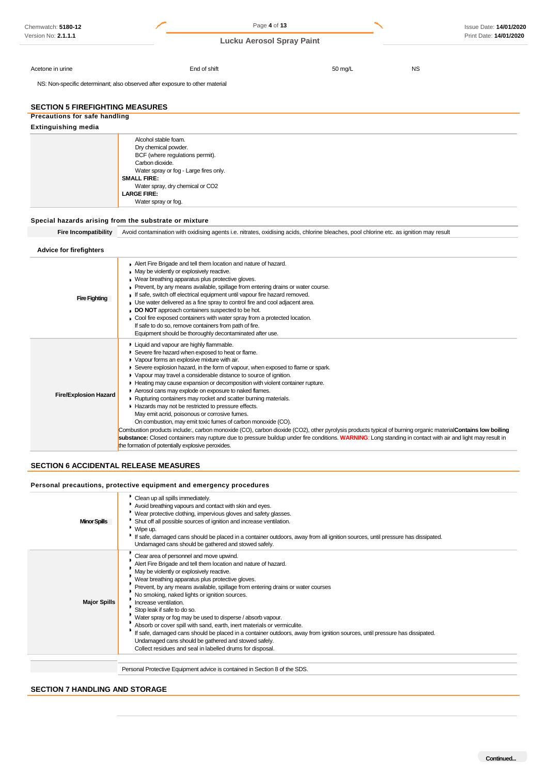| Chemwatch: 5180-12                                                           |                                                                                                                                                                                                                             | Page 4 of 13                                                                                                                                                                                                                                                                                                                                                                                                                                                                                                                                                                                                                                                                                                                                               |         |           | Issue Date: 14/01/2020                                                                                                                                      |
|------------------------------------------------------------------------------|-----------------------------------------------------------------------------------------------------------------------------------------------------------------------------------------------------------------------------|------------------------------------------------------------------------------------------------------------------------------------------------------------------------------------------------------------------------------------------------------------------------------------------------------------------------------------------------------------------------------------------------------------------------------------------------------------------------------------------------------------------------------------------------------------------------------------------------------------------------------------------------------------------------------------------------------------------------------------------------------------|---------|-----------|-------------------------------------------------------------------------------------------------------------------------------------------------------------|
| Version No: 2.1.1.1                                                          |                                                                                                                                                                                                                             | <b>Lucku Aerosol Spray Paint</b>                                                                                                                                                                                                                                                                                                                                                                                                                                                                                                                                                                                                                                                                                                                           |         |           | Print Date: 14/01/2020                                                                                                                                      |
| Acetone in urine                                                             |                                                                                                                                                                                                                             | End of shift                                                                                                                                                                                                                                                                                                                                                                                                                                                                                                                                                                                                                                                                                                                                               | 50 mg/L | <b>NS</b> |                                                                                                                                                             |
| NS: Non-specific determinant; also observed after exposure to other material |                                                                                                                                                                                                                             |                                                                                                                                                                                                                                                                                                                                                                                                                                                                                                                                                                                                                                                                                                                                                            |         |           |                                                                                                                                                             |
| <b>SECTION 5 FIREFIGHTING MEASURES</b>                                       |                                                                                                                                                                                                                             |                                                                                                                                                                                                                                                                                                                                                                                                                                                                                                                                                                                                                                                                                                                                                            |         |           |                                                                                                                                                             |
| <b>Precautions for safe handling</b><br><b>Extinguishing media</b>           |                                                                                                                                                                                                                             |                                                                                                                                                                                                                                                                                                                                                                                                                                                                                                                                                                                                                                                                                                                                                            |         |           |                                                                                                                                                             |
|                                                                              | Alcohol stable foam.                                                                                                                                                                                                        |                                                                                                                                                                                                                                                                                                                                                                                                                                                                                                                                                                                                                                                                                                                                                            |         |           |                                                                                                                                                             |
|                                                                              | Dry chemical powder.<br>BCF (where regulations permit).<br>Carbon dioxide.<br>Water spray or fog - Large fires only.<br><b>SMALL FIRE:</b><br>Water spray, dry chemical or CO2<br><b>LARGE FIRE:</b><br>Water spray or fog. |                                                                                                                                                                                                                                                                                                                                                                                                                                                                                                                                                                                                                                                                                                                                                            |         |           |                                                                                                                                                             |
| Special hazards arising from the substrate or mixture                        |                                                                                                                                                                                                                             |                                                                                                                                                                                                                                                                                                                                                                                                                                                                                                                                                                                                                                                                                                                                                            |         |           |                                                                                                                                                             |
| <b>Fire Incompatibility</b>                                                  |                                                                                                                                                                                                                             | Avoid contamination with oxidising agents i.e. nitrates, oxidising acids, chlorine bleaches, pool chlorine etc. as ignition may result                                                                                                                                                                                                                                                                                                                                                                                                                                                                                                                                                                                                                     |         |           |                                                                                                                                                             |
| <b>Advice for firefighters</b>                                               |                                                                                                                                                                                                                             |                                                                                                                                                                                                                                                                                                                                                                                                                                                                                                                                                                                                                                                                                                                                                            |         |           |                                                                                                                                                             |
| <b>Fire Fighting</b>                                                         | May be violently or explosively reactive.                                                                                                                                                                                   | Alert Fire Brigade and tell them location and nature of hazard.<br>Wear breathing apparatus plus protective gloves.<br>Prevent, by any means available, spillage from entering drains or water course.<br>If safe, switch off electrical equipment until vapour fire hazard removed.<br>Use water delivered as a fine spray to control fire and cool adjacent area.<br>DO NOT approach containers suspected to be hot.<br>Cool fire exposed containers with water spray from a protected location.<br>If safe to do so, remove containers from path of fire.<br>Equipment should be thoroughly decontaminated after use.                                                                                                                                   |         |           |                                                                                                                                                             |
| <b>Fire/Explosion Hazard</b>                                                 | Liquid and vapour are highly flammable.<br>Vapour forms an explosive mixture with air.<br>the formation of potentially explosive peroxides.                                                                                 | Severe fire hazard when exposed to heat or flame.<br>Severe explosion hazard, in the form of vapour, when exposed to flame or spark.<br>▶ Vapour may travel a considerable distance to source of ignition.<br>Heating may cause expansion or decomposition with violent container rupture.<br>Aerosol cans may explode on exposure to naked flames.<br>Rupturing containers may rocket and scatter burning materials.<br>Hazards may not be restricted to pressure effects.<br>May emit acrid, poisonous or corrosive fumes.<br>On combustion, may emit toxic fumes of carbon monoxide (CO).<br>substance: Closed containers may rupture due to pressure buildup under fire conditions. WARNING: Long standing in contact with air and light may result in |         |           | Combustion products include:, carbon monoxide (CO), carbon dioxide (CO2), other pyrolysis products typical of burning organic material Contains low boiling |
| <b>SECTION 6 ACCIDENTAL RELEASE MEASURES</b>                                 |                                                                                                                                                                                                                             |                                                                                                                                                                                                                                                                                                                                                                                                                                                                                                                                                                                                                                                                                                                                                            |         |           |                                                                                                                                                             |
| Personal precautions, protective equipment and emergency procedures          |                                                                                                                                                                                                                             |                                                                                                                                                                                                                                                                                                                                                                                                                                                                                                                                                                                                                                                                                                                                                            |         |           |                                                                                                                                                             |
| <b>Minor Spills</b>                                                          | * Clean up all spills immediately.<br>* Wipe up.                                                                                                                                                                            | * Avoid breathing vapours and contact with skin and eyes.<br>* Wear protective clothing, impervious gloves and safety glasses.<br>Shut off all possible sources of ignition and increase ventilation.<br>If safe, damaged cans should be placed in a container outdoors, away from all ignition sources, until pressure has dissipated.<br>Undamaged cans should be gathered and stowed safely.                                                                                                                                                                                                                                                                                                                                                            |         |           |                                                                                                                                                             |
| <b>Major Spills</b>                                                          | Clear area of personnel and move upwind.<br>May be violently or explosively reactive.<br>No smoking, naked lights or ignition sources.<br>Increase ventilation.<br>Stop leak if safe to do so.                              | Alert Fire Brigade and tell them location and nature of hazard.<br>Wear breathing apparatus plus protective gloves.<br>Prevent, by any means available, spillage from entering drains or water courses<br>Water spray or fog may be used to disperse / absorb vapour.<br>Absorb or cover spill with sand, earth, inert materials or vermiculite.                                                                                                                                                                                                                                                                                                                                                                                                           |         |           |                                                                                                                                                             |

Collect residues and seal in labelled drums for disposal.

If safe, damaged cans should be placed in a container outdoors, away from ignition sources, until pressure has dissipated.

Personal Protective Equipment advice is contained in Section 8 of the SDS.

Undamaged cans should be gathered and stowed safely.

# **SECTION 7 HANDLING AND STORAGE**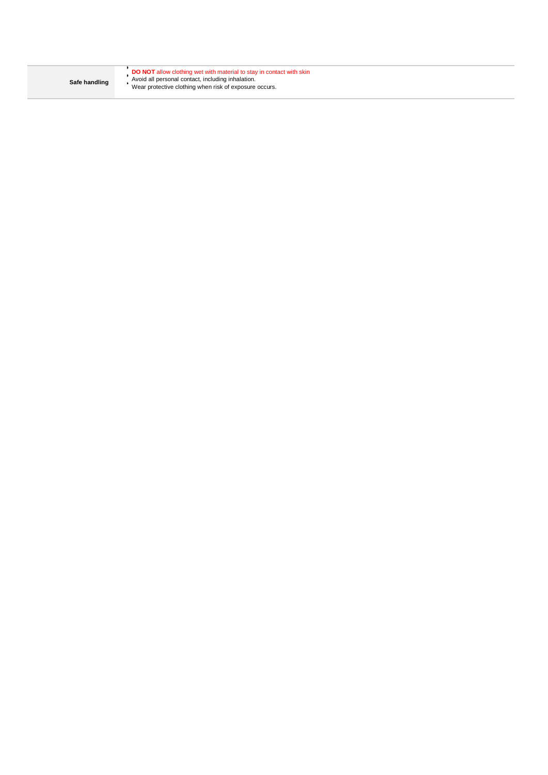| Safe handling | <b>DO NOT</b> allow clothing wet with material to stay in contact with skin<br>Avoid all personal contact, including inhalation.<br>Wear protective clothing when risk of exposure occurs. |
|---------------|--------------------------------------------------------------------------------------------------------------------------------------------------------------------------------------------|
|               |                                                                                                                                                                                            |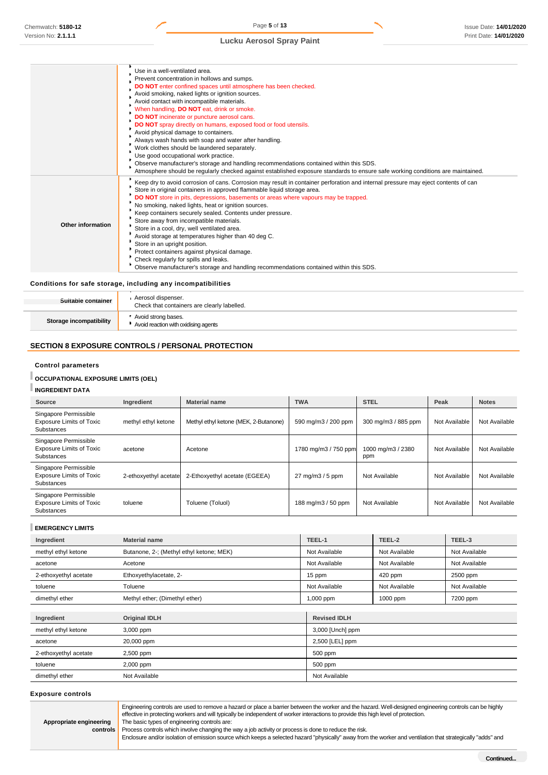Chemwatch: **5180-12**  Version No: **2.1.1.1**

# **Lucku Aerosol Spray Paint**

|                   | Use in a well-ventilated area.                                                                                                                                                                                |
|-------------------|---------------------------------------------------------------------------------------------------------------------------------------------------------------------------------------------------------------|
|                   | Prevent concentration in hollows and sumps.                                                                                                                                                                   |
|                   | <b>DO NOT</b> enter confined spaces until atmosphere has been checked.                                                                                                                                        |
|                   | Avoid smoking, naked lights or ignition sources.                                                                                                                                                              |
|                   | Avoid contact with incompatible materials.                                                                                                                                                                    |
|                   | When handling, DO NOT eat, drink or smoke.                                                                                                                                                                    |
|                   | DO NOT incinerate or puncture aerosol cans.                                                                                                                                                                   |
|                   | DO NOT spray directly on humans, exposed food or food utensils.                                                                                                                                               |
|                   | Avoid physical damage to containers.                                                                                                                                                                          |
|                   | Always wash hands with soap and water after handling.                                                                                                                                                         |
|                   | Work clothes should be laundered separately.                                                                                                                                                                  |
|                   | Use good occupational work practice.                                                                                                                                                                          |
|                   | Observe manufacturer's storage and handling recommendations contained within this SDS.                                                                                                                        |
|                   | Atmosphere should be regularly checked against established exposure standards to ensure safe working conditions are maintained.                                                                               |
|                   | Keep dry to avoid corrosion of cans. Corrosion may result in container perforation and internal pressure may eject contents of can<br>Store in original containers in approved flammable liquid storage area. |
|                   | DO NOT store in pits, depressions, basements or areas where vapours may be trapped.                                                                                                                           |
|                   | No smoking, naked lights, heat or ignition sources.                                                                                                                                                           |
|                   | Keep containers securely sealed. Contents under pressure.                                                                                                                                                     |
|                   | Store away from incompatible materials.                                                                                                                                                                       |
| Other information | Store in a cool, dry, well ventilated area.                                                                                                                                                                   |
|                   | Avoid storage at temperatures higher than 40 deg C.                                                                                                                                                           |
|                   | Store in an upright position.                                                                                                                                                                                 |
|                   | Protect containers against physical damage.                                                                                                                                                                   |
|                   | Check regularly for spills and leaks.                                                                                                                                                                         |
|                   | Observe manufacturer's storage and handling recommendations contained within this SDS.                                                                                                                        |
|                   |                                                                                                                                                                                                               |

### **Conditions for safe storage, including any incompatibilities**

| Suitable container      | Aerosol dispenser.<br>Check that containers are clearly labelled. |
|-------------------------|-------------------------------------------------------------------|
| Storage incompatibility | Avoid strong bases.<br>Avoid reaction with oxidising agents       |

# **SECTION 8 EXPOSURE CONTROLS / PERSONAL PROTECTION**

# **Control parameters**

# **OCCUPATIONAL EXPOSURE LIMITS (OEL)**

# **INGREDIENT DATA**

| Source                                                                 | Ingredient            | <b>Material name</b>                  | <b>TWA</b>                            | <b>STEL</b>              | Peak          | <b>Notes</b>  |
|------------------------------------------------------------------------|-----------------------|---------------------------------------|---------------------------------------|--------------------------|---------------|---------------|
| Singapore Permissible<br><b>Exposure Limits of Toxic</b><br>Substances | methyl ethyl ketone   | Methyl ethyl ketone (MEK, 2-Butanone) | 590 mg/m3 / 200 ppm                   | 300 mg/m3 / 885 ppm      | Not Available | Not Available |
| Singapore Permissible<br><b>Exposure Limits of Toxic</b><br>Substances | acetone               | Acetone                               | 1780 mg/m3 / 750 ppm                  | 1000 mg/m3 / 2380<br>ppm | Not Available | Not Available |
| Singapore Permissible<br><b>Exposure Limits of Toxic</b><br>Substances | 2-ethoxyethyl acetate | 2-Ethoxyethyl acetate (EGEEA)         | $27 \text{ mg/m}$ $3 / 5 \text{ ppm}$ | Not Available            | Not Available | Not Available |
| Singapore Permissible<br><b>Exposure Limits of Toxic</b><br>Substances | toluene               | Toluene (Toluol)                      | 188 mg/m3 / 50 ppm                    | Not Available            | Not Available | Not Available |

# **EMERGENCY LIMITS**

| Ingredient            | <b>Material name</b>                     | TEEL-1              | TEEL-2        | TEEL-3        |
|-----------------------|------------------------------------------|---------------------|---------------|---------------|
| methyl ethyl ketone   | Butanone, 2-; (Methyl ethyl ketone; MEK) | Not Available       | Not Available | Not Available |
| acetone               | Acetone                                  | Not Available       | Not Available | Not Available |
| 2-ethoxyethyl acetate | Ethoxyethylacetate, 2-                   | 15 ppm              | 420 ppm       | 2500 ppm      |
| toluene               | Toluene                                  | Not Available       | Not Available | Not Available |
| dimethyl ether        | Methyl ether; (Dimethyl ether)           | 1,000 ppm           | 1000 ppm      | 7200 ppm      |
|                       |                                          |                     |               |               |
| Ingredient            | <b>Original IDLH</b>                     | <b>Revised IDLH</b> |               |               |
| .                     | - - - - -                                | --------            |               |               |

| methyl ethyl ketone   | 3,000 ppm     | 3,000 [Unch] ppm |
|-----------------------|---------------|------------------|
| acetone               | 20,000 ppm    | 2,500 [LEL] ppm  |
| 2-ethoxyethyl acetate | 2,500 ppm     | 500 ppm          |
| toluene               | 2,000 ppm     | 500 ppm          |
| dimethyl ether        | Not Available | Not Available    |

#### **Exposure controls**

Engineering controls are used to remove a hazard or place a barrier between the worker and the hazard. Well-designed engineering controls can be highly effective in protecting workers and will typically be independent of worker interactions to provide this high level of protection. The basic types of engineering controls are:

**Appropriate engineering controls** 

Process controls which involve changing the way a job activity or process is done to reduce the risk. Enclosure and/or isolation of emission source which keeps a selected hazard "physically" away from the worker and ventilation that strategically "adds" and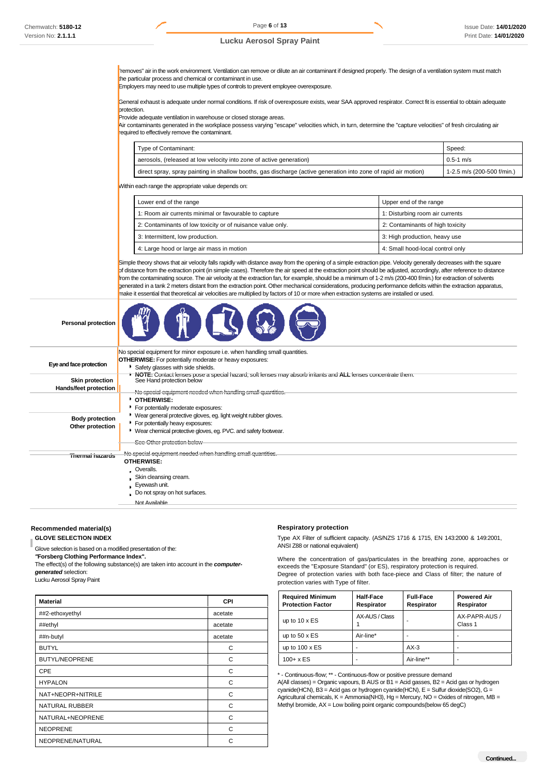"removes" air in the work environment. Ventilation can remove or dilute an air contaminant if designed properly. The design of a ventilation system must match the particular process and chemical or contaminant in use.

Employers may need to use multiple types of controls to prevent employee overexposure.

General exhaust is adequate under normal conditions. If risk of overexposure exists, wear SAA approved respirator. Correct fit is essential to obtain adequate protection.

Provide adequate ventilation in warehouse or closed storage areas.

Air contaminants generated in the workplace possess varying "escape" velocities which, in turn, determine the "capture velocities" of fresh circulating air required to effectively remove the contaminant.

| Type of Contaminant:                                                                                            | Speed:                         |
|-----------------------------------------------------------------------------------------------------------------|--------------------------------|
| aerosols, (released at low velocity into zone of active generation)                                             | $0.5 - 1$ m/s                  |
| direct spray, spray painting in shallow booths, gas discharge (active generation into zone of rapid air motion) | $1 - 2.5$ m/s (200-500 f/min.) |

Within each range the appropriate value depends on:

| Lower end of the range                                     | Upper end of the range           |
|------------------------------------------------------------|----------------------------------|
| 1: Room air currents minimal or favourable to capture      | 1: Disturbing room air currents  |
| 2: Contaminants of low toxicity or of nuisance value only. | 2: Contaminants of high toxicity |
| 3: Intermittent, low production.                           | 3: High production, heavy use    |
| 4: Large hood or large air mass in motion                  | 4: Small hood-local control only |

Simple theory shows that air velocity falls rapidly with distance away from the opening of a simple extraction pipe. Velocity generally decreases with the square of distance from the extraction point (in simple cases). Therefore the air speed at the extraction point should be adjusted, accordingly, after reference to distance from the contaminating source. The air velocity at the extraction fan, for example, should be a minimum of 1-2 m/s (200-400 f/min.) for extraction of solvents generated in a tank 2 meters distant from the extraction point. Other mechanical considerations, producing performance deficits within the extraction apparatus, make it essential that theoretical air velocities are multiplied by factors of 10 or more when extraction systems are installed or used.

| <b>Personal protection</b> |                                                                                                                                              |
|----------------------------|----------------------------------------------------------------------------------------------------------------------------------------------|
|                            | No special equipment for minor exposure i.e. when handling small quantities.                                                                 |
|                            | <b>OTHERWISE:</b> For potentially moderate or heavy exposures:                                                                               |
| Eye and face protection    | Safety glasses with side shields.                                                                                                            |
| <b>Skin protection</b>     | • NOTE: Contact lenses pose a special hazard; soft lenses may absorb irritants and ALL lenses concentrate them.<br>See Hand protection below |
| Hands/feet protection      |                                                                                                                                              |
|                            | No special equipment needed when handling small quantities.                                                                                  |
|                            | * OTHERWISE:                                                                                                                                 |
|                            | For potentially moderate exposures:                                                                                                          |
| <b>Body protection</b>     | * Wear general protective gloves, eg. light weight rubber gloves.                                                                            |
| Other protection           | • For potentially heavy exposures:                                                                                                           |
|                            | • Wear chemical protective gloves, eg. PVC. and safety footwear.                                                                             |
|                            | See Other protection below                                                                                                                   |
| Thermal hazards            | No special equipment needed when handling small quantities.                                                                                  |
|                            | <b>OTHERWISE:</b>                                                                                                                            |
|                            | . Overalls.                                                                                                                                  |
|                            | Skin cleansing cream.                                                                                                                        |
|                            | . Eyewash unit.                                                                                                                              |
|                            | Do not spray on hot surfaces.                                                                                                                |
|                            | Not Available                                                                                                                                |

### **Recommended material(s)**

**GLOVE SELECTION INDEX**

Glove selection is based on a modified presentation of the:

*"***Forsberg Clothing Performance Index".**

The effect(s) of the following substance(s) are taken into account in the *computergenerated* selection:

Lucku Aerosol Spray Paint

| <b>Material</b>       | <b>CPI</b> |
|-----------------------|------------|
| ##2-ethoxyethyl       | acetate    |
| ##ethyl               | acetate    |
| ##n-butyl             | acetate    |
| <b>BUTYL</b>          | C          |
| <b>BUTYL/NEOPRENE</b> | C          |
| <b>CPE</b>            | C          |
| <b>HYPALON</b>        | C          |
| NAT+NEOPR+NITRILE     | C          |
| <b>NATURAL RUBBER</b> | C          |
| NATURAL+NEOPRENE      | C          |
| <b>NEOPRENE</b>       | C          |
| NEOPRENE/NATURAL      | C          |

#### **Respiratory protection**

Type AX Filter of sufficient capacity. (AS/NZS 1716 & 1715, EN 143:2000 & 149:2001, ANSI Z88 or national equivalent)

Where the concentration of gas/particulates in the breathing zone, approaches or exceeds the "Exposure Standard" (or ES), respiratory protection is required. Degree of protection varies with both face-piece and Class of filter; the nature of protection varies with Type of filter.

| <b>Required Minimum</b><br><b>Protection Factor</b> | Half-Face<br>Respirator | <b>Full-Face</b><br>Respirator | <b>Powered Air</b><br>Respirator |
|-----------------------------------------------------|-------------------------|--------------------------------|----------------------------------|
| up to $10 \times ES$                                | AX-AUS / Class          |                                | AX-PAPR-AUS /<br>Class 1         |
| up to $50 \times ES$                                | Air-line*               |                                |                                  |
| up to $100 \times ES$                               |                         | $AX-3$                         |                                  |
| $100 + x ES$                                        |                         | Air-line**                     |                                  |

\* - Continuous-flow; \*\* - Continuous-flow or positive pressure demand A(All classes) = Organic vapours, B AUS or B1 = Acid gasses, B2 = Acid gas or hydrogen cyanide(HCN), B3 = Acid gas or hydrogen cyanide(HCN), E = Sulfur dioxide(SO2), G = Agricultural chemicals, K = Ammonia(NH3), Hg = Mercury, NO = Oxides of nitrogen, MB = Methyl bromide, AX = Low boiling point organic compounds(below 65 degC)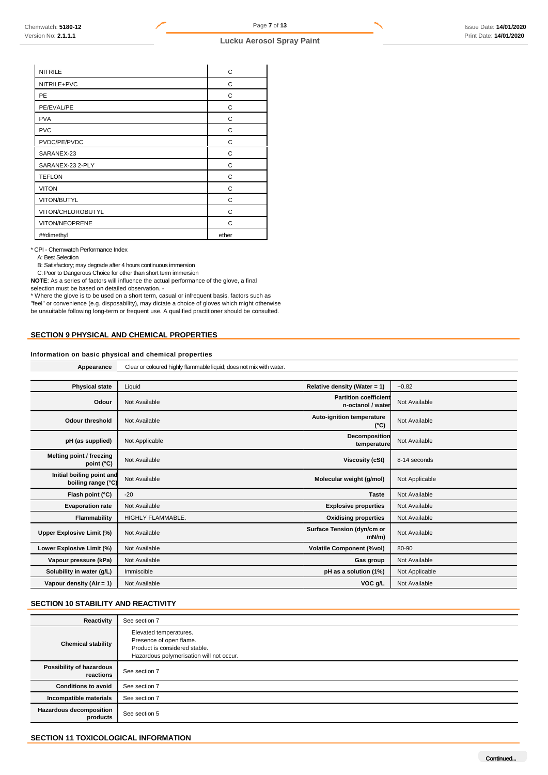| <b>NITRILE</b>    | C     |
|-------------------|-------|
| NITRILE+PVC       | C     |
| PE                | C     |
| PE/EVAL/PE        | C     |
| <b>PVA</b>        | C     |
| <b>PVC</b>        | С     |
| PVDC/PE/PVDC      | C     |
| SARANEX-23        | С     |
| SARANEX-23 2-PLY  | C     |
| <b>TEFLON</b>     | C     |
| <b>VITON</b>      | C     |
| VITON/BUTYL       | C     |
| VITON/CHLOROBUTYL | C     |
| VITON/NEOPRENE    | C     |
| ##dimethyl        | ether |

\* CPI - Chemwatch Performance Index

A: Best Selection

B: Satisfactory; may degrade after 4 hours continuous immersion

C: Poor to Dangerous Choice for other than short term immersion

**NOTE**: As a series of factors will influence the actual performance of the glove, a final selection must be based on detailed observation. -

\* Where the glove is to be used on a short term, casual or infrequent basis, factors such as "feel" or convenience (e.g. disposability), may dictate a choice of gloves which might otherwise be unsuitable following long-term or frequent use. A qualified practitioner should be consulted.

# **SECTION 9 PHYSICAL AND CHEMICAL PROPERTIES**

# **Information on basic physical and chemical properties**

**Appearance** Clear or coloured highly flammable liquid; does not mix with water.

| <b>Physical state</b>                           | Liquid            | Relative density (Water = $1$ )                   | $-0.82$        |
|-------------------------------------------------|-------------------|---------------------------------------------------|----------------|
| Odour                                           | Not Available     | <b>Partition coefficient</b><br>n-octanol / water | Not Available  |
| Odour threshold                                 | Not Available     | Auto-ignition temperature<br>$(^{\circ}C)$        | Not Available  |
| pH (as supplied)                                | Not Applicable    | <b>Decomposition</b><br>temperature               | Not Available  |
| Melting point / freezing<br>point (°C)          | Not Available     | Viscosity (cSt)                                   | 8-14 seconds   |
| Initial boiling point and<br>boiling range (°C) | Not Available     | Molecular weight (g/mol)                          | Not Applicable |
| Flash point (°C)                                | $-20$             | <b>Taste</b>                                      | Not Available  |
| <b>Evaporation rate</b>                         | Not Available     | <b>Explosive properties</b>                       | Not Available  |
| Flammability                                    | HIGHLY FLAMMABLE. | <b>Oxidising properties</b>                       | Not Available  |
| Upper Explosive Limit (%)                       | Not Available     | Surface Tension (dyn/cm or<br>$mN/m$ )            | Not Available  |
| Lower Explosive Limit (%)                       | Not Available     | <b>Volatile Component (%vol)</b>                  | 80-90          |
| Vapour pressure (kPa)                           | Not Available     | Gas group                                         | Not Available  |
| Solubility in water (g/L)                       | Immiscible        | pH as a solution (1%)                             | Not Applicable |
| Vapour density ( $Air = 1$ )                    | Not Available     | VOC g/L                                           | Not Available  |

# **SECTION 10 STABILITY AND REACTIVITY**

| Reactivity                                 | See section 7                                                                                                                  |
|--------------------------------------------|--------------------------------------------------------------------------------------------------------------------------------|
| <b>Chemical stability</b>                  | Elevated temperatures.<br>Presence of open flame.<br>Product is considered stable.<br>Hazardous polymerisation will not occur. |
| Possibility of hazardous<br>reactions      | See section 7                                                                                                                  |
| <b>Conditions to avoid</b>                 | See section 7                                                                                                                  |
| Incompatible materials                     | See section 7                                                                                                                  |
| <b>Hazardous decomposition</b><br>products | See section 5                                                                                                                  |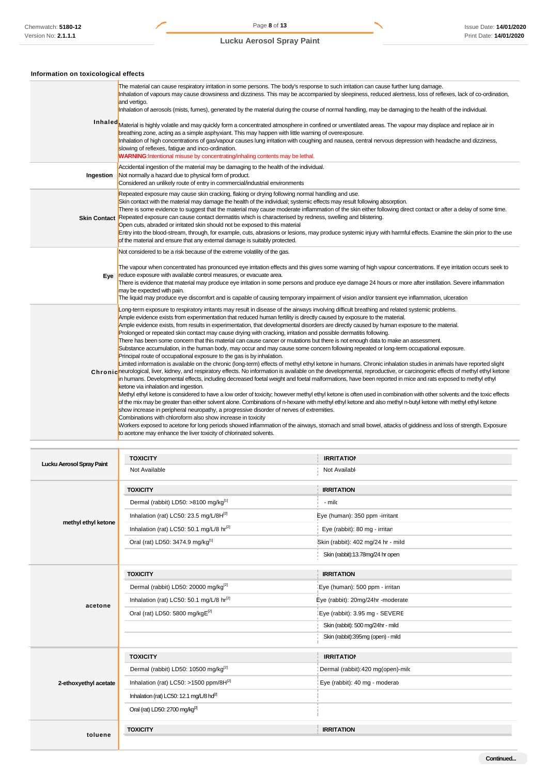# **Information on toxicological effects**

|           | The material can cause respiratory irritation in some persons. The body's response to such irritation can cause further lung damage.<br>Inhalation of vapours may cause drowsiness and dizziness. This may be accompanied by sleepiness, reduced alertness, loss of reflexes, lack of co-ordination,<br>and vertigo.<br>Inhalation of aerosols (mists, fumes), generated by the material during the course of normal handling, may be damaging to the health of the individual.<br>In haled Material is highly volatile and may quickly form a concentrated atmosphere in confined or unventilated areas. The vapour may displace and replace air in<br>breathing zone, acting as a simple asphyxiant. This may happen with little warning of overexposure.<br>Inhalation of high concentrations of gas/vapour causes lung irritation with coughing and nausea, central nervous depression with headache and dizziness,<br>slowing of reflexes, fatigue and inco-ordination.<br><b>WARNING:</b> Intentional misuse by concentrating/inhaling contents may be lethal.                                                                                                                                                                                                                                                                                                                                                                                                                                                                                                                                                                                                                                                                                                                                                                                                                                                                                                                                                                                                                                                                                                                                   |
|-----------|--------------------------------------------------------------------------------------------------------------------------------------------------------------------------------------------------------------------------------------------------------------------------------------------------------------------------------------------------------------------------------------------------------------------------------------------------------------------------------------------------------------------------------------------------------------------------------------------------------------------------------------------------------------------------------------------------------------------------------------------------------------------------------------------------------------------------------------------------------------------------------------------------------------------------------------------------------------------------------------------------------------------------------------------------------------------------------------------------------------------------------------------------------------------------------------------------------------------------------------------------------------------------------------------------------------------------------------------------------------------------------------------------------------------------------------------------------------------------------------------------------------------------------------------------------------------------------------------------------------------------------------------------------------------------------------------------------------------------------------------------------------------------------------------------------------------------------------------------------------------------------------------------------------------------------------------------------------------------------------------------------------------------------------------------------------------------------------------------------------------------------------------------------------------------------------------------------|
| Ingestion | Accidental ingestion of the material may be damaging to the health of the individual.<br>Not normally a hazard due to physical form of product.<br>Considered an unlikely route of entry in commercial/industrial environments                                                                                                                                                                                                                                                                                                                                                                                                                                                                                                                                                                                                                                                                                                                                                                                                                                                                                                                                                                                                                                                                                                                                                                                                                                                                                                                                                                                                                                                                                                                                                                                                                                                                                                                                                                                                                                                                                                                                                                         |
|           | Repeated exposure may cause skin cracking, flaking or drying following normal handling and use.<br>Skin contact with the material may damage the health of the individual; systemic effects may result following absorption.<br>There is some evidence to suggest that the material may cause moderate inflammation of the skin either following direct contact or after a delay of some time.<br>Skin Contact Repeated exposure can cause contact dermatitis which is characterised by redness, swelling and blistering.<br>Open cuts, abraded or irritated skin should not be exposed to this material<br>Entry into the blood-stream, through, for example, cuts, abrasions or lesions, may produce systemic injury with harmful effects. Examine the skin prior to the use<br>of the material and ensure that any external damage is suitably protected.                                                                                                                                                                                                                                                                                                                                                                                                                                                                                                                                                                                                                                                                                                                                                                                                                                                                                                                                                                                                                                                                                                                                                                                                                                                                                                                                           |
| Eye       | Not considered to be a risk because of the extreme volatility of the gas.<br>The vapour when concentrated has pronounced eye irritation effects and this gives some warning of high vapour concentrations. If eye irritation occurs seek to<br>reduce exposure with available control measures, or evacuate area.<br>There is evidence that material may produce eye irritation in some persons and produce eye damage 24 hours or more after instillation. Severe inflammation<br>may be expected with pain.<br>The liquid may produce eye discomfort and is capable of causing temporary impairment of vision and/or transient eye inflammation, ulceration                                                                                                                                                                                                                                                                                                                                                                                                                                                                                                                                                                                                                                                                                                                                                                                                                                                                                                                                                                                                                                                                                                                                                                                                                                                                                                                                                                                                                                                                                                                                          |
|           | Long-term exposure to respiratory irritants may result in disease of the airways involving difficult breathing and related systemic problems.<br>Ample evidence exists from experimentation that reduced human fertility is directly caused by exposure to the material.<br>Ample evidence exists, from results in experimentation, that developmental disorders are directly caused by human exposure to the material.<br>Prolonged or repeated skin contact may cause drying with cracking, irritation and possible dermatitis following.<br>There has been some concern that this material can cause cancer or mutations but there is not enough data to make an assessment.<br>Substance accumulation, in the human body, may occur and may cause some concern following repeated or long-term occupational exposure.<br>Principal route of occupational exposure to the gas is by inhalation.<br>Limited information is available on the chronic (long-term) effects of methyl ethyl ketone in humans. Chronic inhalation studies in animals have reported slight<br>Chronicheurological, liver, kidney, and respiratory effects. No information is available on the developmental, reproductive, or carcinogenic effects of methyl ethyl ketone<br>in humans. Developmental effects, including decreased foetal weight and foetal malformations, have been reported in mice and rats exposed to methyl ethyl<br>ketone via inhalation and ingestion.<br>Methyl ethyl ketone is considered to have a low order of toxicity; however methyl ethyl ketone is often used in combination with other solvents and the toxic effects<br>of the mix may be greater than either solvent alone. Combinations of n-hexane with methyl ethyl ketone and also methyl n-butyl ketone with methyl ethyl ketone<br>show increase in peripheral neuropathy, a progressive disorder of nerves of extremities.<br>Combinations with chloroform also show increase in toxicity<br>Workers exposed to acetone for long periods showed inflammation of the airways, stomach and small bowel, attacks of giddiness and loss of strength. Exposure<br>to acetone may enhance the liver toxicity of chlorinated solvents. |

| Lucku Aerosol Spray Paint | <b>TOXICITY</b>                                      | <b>IRRITATION</b>                  |
|---------------------------|------------------------------------------------------|------------------------------------|
|                           | Not Available                                        | Not Available                      |
|                           | <b>TOXICITY</b>                                      | <b>IRRITATION</b>                  |
|                           | Dermal (rabbit) LD50: >8100 mg/kg[1]                 | - milc                             |
|                           | Inhalation (rat) LC50: 23.5 mg/L/8 $H^{[2]}$         | Eye (human): 350 ppm -irritant     |
| methyl ethyl ketone       | Inhalation (rat) LC50: 50.1 mg/L/8 hr[2]             | Eye (rabbit): 80 mg - irritan      |
|                           | Oral (rat) LD50: 3474.9 mg/kg[1]                     | Skin (rabbit): 402 mg/24 hr - mild |
|                           |                                                      | Skin (rabbit):13.78mg/24 hr open   |
|                           | <b>TOXICITY</b>                                      | <b>IRRITATION</b>                  |
|                           | Dermal (rabbit) LD50: 20000 mg/kg <sup>[2]</sup>     | Eye (human): 500 ppm - irritan     |
|                           | Inhalation (rat) LC50: 50.1 mg/L/8 hr <sup>[2]</sup> | Eye (rabbit): 20mg/24hr -moderate  |
| acetone                   | Oral (rat) LD50: 5800 mg/kgE[2]                      | Eye (rabbit): 3.95 mg - SEVERE     |
|                           |                                                      | Skin (rabbit): 500 mg/24hr - mild  |
|                           |                                                      | Skin (rabbit):395mg (open) - mild  |
|                           | <b>TOXICITY</b>                                      | <b>IRRITATION</b>                  |
|                           | Dermal (rabbit) LD50: 10500 mg/kg <sup>[2]</sup>     | Dermal (rabbit):420 mg(open)-milc  |
| 2-ethoxyethyl acetate     | Inhalation (rat) LC50: >1500 ppm/8 $H^{[2]}$         | Eye (rabbit): 40 mg - moderat      |
|                           | Inhalation (rat) LC50: 12.1 mg/L/8 hd <sup>[2]</sup> |                                    |
|                           | Oral (rat) LD50: 2700 mg/kg <sup>[2]</sup>           |                                    |
|                           | <b>TOXICITY</b>                                      | <b>IRRITATION</b>                  |
| toluene                   |                                                      |                                    |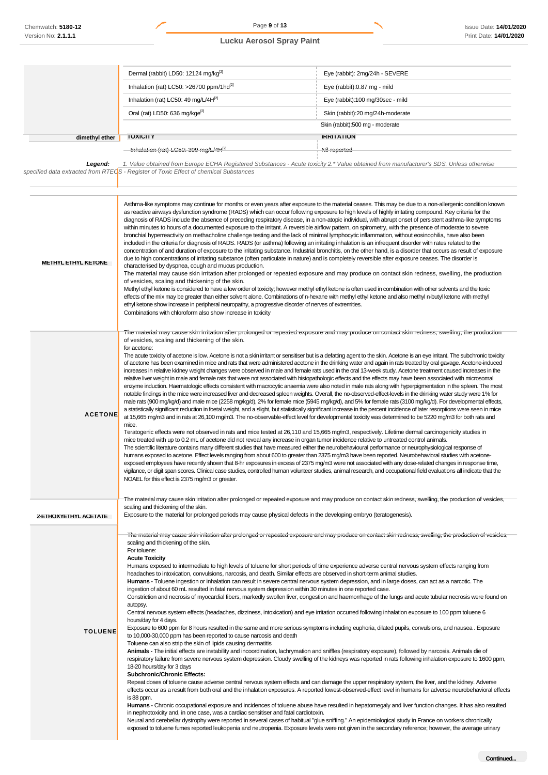| Chemwatch: 5180-12       | Page 9 of 13                                                                                                                                                                                                                                                                                                                                                                                                                                                                                                                                                                                                                                                                                                                                                                                                                                                                                                                                                                                                                                                                                                                                                                                                                                                                                                                                                                                                                                                                                                                                                                                                                                                                                                                                                                                                                                                                                                                                                                                                                                                                                                                                                                                                                                                                                                                                                                                                                                                                                                                                                                                              |                                                                                                                                                                                                                                                                                                                                                                                                                                                                                                                                                                                                                                                                                                                                                                                                                                                                                                                                                                                                                                                                                                                                                                                                                                                                                                                                                                                                                                                                                                                                                                                                                                                                                                                                                                                                                                                                                                                                                                                                                                                                                                                                                                                                           | <b>Issue Date: 14/01/2020</b> |
|--------------------------|-----------------------------------------------------------------------------------------------------------------------------------------------------------------------------------------------------------------------------------------------------------------------------------------------------------------------------------------------------------------------------------------------------------------------------------------------------------------------------------------------------------------------------------------------------------------------------------------------------------------------------------------------------------------------------------------------------------------------------------------------------------------------------------------------------------------------------------------------------------------------------------------------------------------------------------------------------------------------------------------------------------------------------------------------------------------------------------------------------------------------------------------------------------------------------------------------------------------------------------------------------------------------------------------------------------------------------------------------------------------------------------------------------------------------------------------------------------------------------------------------------------------------------------------------------------------------------------------------------------------------------------------------------------------------------------------------------------------------------------------------------------------------------------------------------------------------------------------------------------------------------------------------------------------------------------------------------------------------------------------------------------------------------------------------------------------------------------------------------------------------------------------------------------------------------------------------------------------------------------------------------------------------------------------------------------------------------------------------------------------------------------------------------------------------------------------------------------------------------------------------------------------------------------------------------------------------------------------------------------|-----------------------------------------------------------------------------------------------------------------------------------------------------------------------------------------------------------------------------------------------------------------------------------------------------------------------------------------------------------------------------------------------------------------------------------------------------------------------------------------------------------------------------------------------------------------------------------------------------------------------------------------------------------------------------------------------------------------------------------------------------------------------------------------------------------------------------------------------------------------------------------------------------------------------------------------------------------------------------------------------------------------------------------------------------------------------------------------------------------------------------------------------------------------------------------------------------------------------------------------------------------------------------------------------------------------------------------------------------------------------------------------------------------------------------------------------------------------------------------------------------------------------------------------------------------------------------------------------------------------------------------------------------------------------------------------------------------------------------------------------------------------------------------------------------------------------------------------------------------------------------------------------------------------------------------------------------------------------------------------------------------------------------------------------------------------------------------------------------------------------------------------------------------------------------------------------------------|-------------------------------|
| Version No: 2.1.1.1      | <b>Lucku Aerosol Spray Paint</b>                                                                                                                                                                                                                                                                                                                                                                                                                                                                                                                                                                                                                                                                                                                                                                                                                                                                                                                                                                                                                                                                                                                                                                                                                                                                                                                                                                                                                                                                                                                                                                                                                                                                                                                                                                                                                                                                                                                                                                                                                                                                                                                                                                                                                                                                                                                                                                                                                                                                                                                                                                          |                                                                                                                                                                                                                                                                                                                                                                                                                                                                                                                                                                                                                                                                                                                                                                                                                                                                                                                                                                                                                                                                                                                                                                                                                                                                                                                                                                                                                                                                                                                                                                                                                                                                                                                                                                                                                                                                                                                                                                                                                                                                                                                                                                                                           | Print Date: 14/01/2020        |
|                          |                                                                                                                                                                                                                                                                                                                                                                                                                                                                                                                                                                                                                                                                                                                                                                                                                                                                                                                                                                                                                                                                                                                                                                                                                                                                                                                                                                                                                                                                                                                                                                                                                                                                                                                                                                                                                                                                                                                                                                                                                                                                                                                                                                                                                                                                                                                                                                                                                                                                                                                                                                                                           |                                                                                                                                                                                                                                                                                                                                                                                                                                                                                                                                                                                                                                                                                                                                                                                                                                                                                                                                                                                                                                                                                                                                                                                                                                                                                                                                                                                                                                                                                                                                                                                                                                                                                                                                                                                                                                                                                                                                                                                                                                                                                                                                                                                                           |                               |
|                          |                                                                                                                                                                                                                                                                                                                                                                                                                                                                                                                                                                                                                                                                                                                                                                                                                                                                                                                                                                                                                                                                                                                                                                                                                                                                                                                                                                                                                                                                                                                                                                                                                                                                                                                                                                                                                                                                                                                                                                                                                                                                                                                                                                                                                                                                                                                                                                                                                                                                                                                                                                                                           |                                                                                                                                                                                                                                                                                                                                                                                                                                                                                                                                                                                                                                                                                                                                                                                                                                                                                                                                                                                                                                                                                                                                                                                                                                                                                                                                                                                                                                                                                                                                                                                                                                                                                                                                                                                                                                                                                                                                                                                                                                                                                                                                                                                                           |                               |
|                          | Dermal (rabbit) LD50: 12124 mg/kg <sup>[2]</sup>                                                                                                                                                                                                                                                                                                                                                                                                                                                                                                                                                                                                                                                                                                                                                                                                                                                                                                                                                                                                                                                                                                                                                                                                                                                                                                                                                                                                                                                                                                                                                                                                                                                                                                                                                                                                                                                                                                                                                                                                                                                                                                                                                                                                                                                                                                                                                                                                                                                                                                                                                          | Eye (rabbit): 2mg/24h - SEVERE                                                                                                                                                                                                                                                                                                                                                                                                                                                                                                                                                                                                                                                                                                                                                                                                                                                                                                                                                                                                                                                                                                                                                                                                                                                                                                                                                                                                                                                                                                                                                                                                                                                                                                                                                                                                                                                                                                                                                                                                                                                                                                                                                                            |                               |
|                          | Inhalation (rat) LC50: >26700 ppm/1hd <sup>[2]</sup>                                                                                                                                                                                                                                                                                                                                                                                                                                                                                                                                                                                                                                                                                                                                                                                                                                                                                                                                                                                                                                                                                                                                                                                                                                                                                                                                                                                                                                                                                                                                                                                                                                                                                                                                                                                                                                                                                                                                                                                                                                                                                                                                                                                                                                                                                                                                                                                                                                                                                                                                                      | Eye (rabbit):0.87 mg - mild                                                                                                                                                                                                                                                                                                                                                                                                                                                                                                                                                                                                                                                                                                                                                                                                                                                                                                                                                                                                                                                                                                                                                                                                                                                                                                                                                                                                                                                                                                                                                                                                                                                                                                                                                                                                                                                                                                                                                                                                                                                                                                                                                                               |                               |
|                          | Inhalation (rat) LC50: 49 mg/L/4H <sup>[2]</sup>                                                                                                                                                                                                                                                                                                                                                                                                                                                                                                                                                                                                                                                                                                                                                                                                                                                                                                                                                                                                                                                                                                                                                                                                                                                                                                                                                                                                                                                                                                                                                                                                                                                                                                                                                                                                                                                                                                                                                                                                                                                                                                                                                                                                                                                                                                                                                                                                                                                                                                                                                          | Eye (rabbit):100 mg/30sec - mild                                                                                                                                                                                                                                                                                                                                                                                                                                                                                                                                                                                                                                                                                                                                                                                                                                                                                                                                                                                                                                                                                                                                                                                                                                                                                                                                                                                                                                                                                                                                                                                                                                                                                                                                                                                                                                                                                                                                                                                                                                                                                                                                                                          |                               |
|                          | Oral (rat) LD50: 636 mg/kge <sup>[2]</sup>                                                                                                                                                                                                                                                                                                                                                                                                                                                                                                                                                                                                                                                                                                                                                                                                                                                                                                                                                                                                                                                                                                                                                                                                                                                                                                                                                                                                                                                                                                                                                                                                                                                                                                                                                                                                                                                                                                                                                                                                                                                                                                                                                                                                                                                                                                                                                                                                                                                                                                                                                                | Skin (rabbit):20 mg/24h-moderate                                                                                                                                                                                                                                                                                                                                                                                                                                                                                                                                                                                                                                                                                                                                                                                                                                                                                                                                                                                                                                                                                                                                                                                                                                                                                                                                                                                                                                                                                                                                                                                                                                                                                                                                                                                                                                                                                                                                                                                                                                                                                                                                                                          |                               |
|                          |                                                                                                                                                                                                                                                                                                                                                                                                                                                                                                                                                                                                                                                                                                                                                                                                                                                                                                                                                                                                                                                                                                                                                                                                                                                                                                                                                                                                                                                                                                                                                                                                                                                                                                                                                                                                                                                                                                                                                                                                                                                                                                                                                                                                                                                                                                                                                                                                                                                                                                                                                                                                           | Skin (rabbit):500 mg - moderate                                                                                                                                                                                                                                                                                                                                                                                                                                                                                                                                                                                                                                                                                                                                                                                                                                                                                                                                                                                                                                                                                                                                                                                                                                                                                                                                                                                                                                                                                                                                                                                                                                                                                                                                                                                                                                                                                                                                                                                                                                                                                                                                                                           |                               |
| dimethyl ether           | <b>TOXICITY</b>                                                                                                                                                                                                                                                                                                                                                                                                                                                                                                                                                                                                                                                                                                                                                                                                                                                                                                                                                                                                                                                                                                                                                                                                                                                                                                                                                                                                                                                                                                                                                                                                                                                                                                                                                                                                                                                                                                                                                                                                                                                                                                                                                                                                                                                                                                                                                                                                                                                                                                                                                                                           | <b>IRRITATION</b>                                                                                                                                                                                                                                                                                                                                                                                                                                                                                                                                                                                                                                                                                                                                                                                                                                                                                                                                                                                                                                                                                                                                                                                                                                                                                                                                                                                                                                                                                                                                                                                                                                                                                                                                                                                                                                                                                                                                                                                                                                                                                                                                                                                         |                               |
|                          | $-$ Inhalation (rat) LC50: 309 mg/L/4H $^{[2]}$                                                                                                                                                                                                                                                                                                                                                                                                                                                                                                                                                                                                                                                                                                                                                                                                                                                                                                                                                                                                                                                                                                                                                                                                                                                                                                                                                                                                                                                                                                                                                                                                                                                                                                                                                                                                                                                                                                                                                                                                                                                                                                                                                                                                                                                                                                                                                                                                                                                                                                                                                           | Nil reported                                                                                                                                                                                                                                                                                                                                                                                                                                                                                                                                                                                                                                                                                                                                                                                                                                                                                                                                                                                                                                                                                                                                                                                                                                                                                                                                                                                                                                                                                                                                                                                                                                                                                                                                                                                                                                                                                                                                                                                                                                                                                                                                                                                              |                               |
| Legend:                  |                                                                                                                                                                                                                                                                                                                                                                                                                                                                                                                                                                                                                                                                                                                                                                                                                                                                                                                                                                                                                                                                                                                                                                                                                                                                                                                                                                                                                                                                                                                                                                                                                                                                                                                                                                                                                                                                                                                                                                                                                                                                                                                                                                                                                                                                                                                                                                                                                                                                                                                                                                                                           | 1. Value obtained from Europe ECHA Registered Substances - Acute toxicity 2.* Value obtained from manufacturer's SDS. Unless otherwise                                                                                                                                                                                                                                                                                                                                                                                                                                                                                                                                                                                                                                                                                                                                                                                                                                                                                                                                                                                                                                                                                                                                                                                                                                                                                                                                                                                                                                                                                                                                                                                                                                                                                                                                                                                                                                                                                                                                                                                                                                                                    |                               |
|                          | specified data extracted from RTECS - Register of Toxic Effect of chemical Substances                                                                                                                                                                                                                                                                                                                                                                                                                                                                                                                                                                                                                                                                                                                                                                                                                                                                                                                                                                                                                                                                                                                                                                                                                                                                                                                                                                                                                                                                                                                                                                                                                                                                                                                                                                                                                                                                                                                                                                                                                                                                                                                                                                                                                                                                                                                                                                                                                                                                                                                     |                                                                                                                                                                                                                                                                                                                                                                                                                                                                                                                                                                                                                                                                                                                                                                                                                                                                                                                                                                                                                                                                                                                                                                                                                                                                                                                                                                                                                                                                                                                                                                                                                                                                                                                                                                                                                                                                                                                                                                                                                                                                                                                                                                                                           |                               |
|                          |                                                                                                                                                                                                                                                                                                                                                                                                                                                                                                                                                                                                                                                                                                                                                                                                                                                                                                                                                                                                                                                                                                                                                                                                                                                                                                                                                                                                                                                                                                                                                                                                                                                                                                                                                                                                                                                                                                                                                                                                                                                                                                                                                                                                                                                                                                                                                                                                                                                                                                                                                                                                           |                                                                                                                                                                                                                                                                                                                                                                                                                                                                                                                                                                                                                                                                                                                                                                                                                                                                                                                                                                                                                                                                                                                                                                                                                                                                                                                                                                                                                                                                                                                                                                                                                                                                                                                                                                                                                                                                                                                                                                                                                                                                                                                                                                                                           |                               |
| <b>MEIHYLEIHYLKEIONE</b> | characterised by dyspnea, cough and mucus production.<br>of vesicles, scaling and thickening of the skin.<br>ethyl ketone show increase in peripheral neuropathy, a progressive disorder of nerves of extremities.<br>Combinations with chloroform also show increase in toxicity                                                                                                                                                                                                                                                                                                                                                                                                                                                                                                                                                                                                                                                                                                                                                                                                                                                                                                                                                                                                                                                                                                                                                                                                                                                                                                                                                                                                                                                                                                                                                                                                                                                                                                                                                                                                                                                                                                                                                                                                                                                                                                                                                                                                                                                                                                                         | Asthma-like symptoms may continue for months or even years after exposure to the material ceases. This may be due to a non-allergenic condition known<br>as reactive airways dysfunction syndrome (RADS) which can occur following exposure to high levels of highly irritating compound. Key criteria for the<br>diagnosis of RADS include the absence of preceding respiratory disease, in a non-atopic individual, with abrupt onset of persistent asthma-like symptoms<br>within minutes to hours of a documented exposure to the irritant. A reversible airflow pattern, on spirometry, with the presence of moderate to severe<br>bronchial hyperreactivity on methacholine challenge testing and the lack of minimal lymphocytic inflammation, without eosinophilia, have also been<br>included in the criteria for diagnosis of RADS. RADS (or asthma) following an irritating inhalation is an infrequent disorder with rates related to the<br>concentration of and duration of exposure to the irritating substance. Industrial bronchitis, on the other hand, is a disorder that occurs as result of exposure<br>due to high concentrations of irritating substance (often particulate in nature) and is completely reversible after exposure ceases. The disorder is<br>The material may cause skin irritation after prolonged or repeated exposure and may produce on contact skin redness, swelling, the production<br>Methyl ethyl ketone is considered to have a low order of toxicity; however methyl ethyl ketone is often used in combination with other solvents and the toxic<br>effects of the mix may be greater than either solvent alone. Combinations of n-hexane with methyl ethyl ketone and also methyl n-butyl ketone with methyl<br>The material may cause skin irritation after prolonged or repeated exposure and may produce on contact skin redness, swelling, the production                                                                                                                                                                                                                                                                                         |                               |
| <b>ACETONE</b>           | of vesicles, scaling and thickening of the skin.<br>for acetone:<br>The acute toxicity of acetone is low. Acetone is not a skin irritant or sensitiser but is a defatting agent to the skin. Acetone is an eye irritant. The subchronic toxicity<br>of acetone has been examined in mice and rats that were administered acetone in the drinking water and again in rats treated by oral gavage. Acetone-induced<br>increases in relative kidney weight changes were observed in male and female rats used in the oral 13-week study. Acetone treatment caused increases in the<br>relative liver weight in male and female rats that were not associated with histopathologic effects and the effects may have been associated with microsomal<br>enzyme induction. Haematologic effects consistent with macrocytic anaemia were also noted in male rats along with hyperpigmentation in the spleen. The most<br>notable findings in the mice were increased liver and decreased spleen weights. Overall, the no-observed-effect-levels in the drinking water study were 1% for<br>male rats (900 mg/kg/d) and male mice (2258 mg/kg/d), 2% for female mice (5945 mg/kg/d), and 5% for female rats (3100 mg/kg/d). For developmental effects,<br>a statistically significant reduction in foetal weight, and a slight, but statistically significant increase in the percent incidence of later resorptions were seen in mice<br>at 15,665 mg/m3 and in rats at 26,100 mg/m3. The no-observable-effect level for developmental toxicity was determined to be 5220 mg/m3 for both rats and<br>mice.<br>Teratogenic effects were not observed in rats and mice tested at 26,110 and 15,665 mg/m3, respectively. Lifetime dermal carcinogenicity studies in<br>mice treated with up to 0.2 mL of acetone did not reveal any increase in organ tumor incidence relative to untreated control animals.<br>The scientific literature contains many different studies that have measured either the neurobehavioural performance or neurophysiological response of<br>humans exposed to acetone. Effect levels ranging from about 600 to greater than 2375 mg/m3 have been reported. Neurobehavioral studies with acetone-<br>exposed employees have recently shown that 8-hr exposures in excess of 2375 mg/m3 were not associated with any dose-related changes in response time,<br>vigilance, or digit span scores. Clinical case studies, controlled human volunteer studies, animal research, and occupational field evaluations all indicate that the<br>NOAEL for this effect is 2375 mg/m3 or greater. |                                                                                                                                                                                                                                                                                                                                                                                                                                                                                                                                                                                                                                                                                                                                                                                                                                                                                                                                                                                                                                                                                                                                                                                                                                                                                                                                                                                                                                                                                                                                                                                                                                                                                                                                                                                                                                                                                                                                                                                                                                                                                                                                                                                                           |                               |
| 2-ETHOXYETHYL ACETATE    | scaling and thickening of the skin.<br>Exposure to the material for prolonged periods may cause physical defects in the developing embryo (teratogenesis).                                                                                                                                                                                                                                                                                                                                                                                                                                                                                                                                                                                                                                                                                                                                                                                                                                                                                                                                                                                                                                                                                                                                                                                                                                                                                                                                                                                                                                                                                                                                                                                                                                                                                                                                                                                                                                                                                                                                                                                                                                                                                                                                                                                                                                                                                                                                                                                                                                                | The material may cause skin initation after prolonged or repeated exposure and may produce on contact skin redness, swelling, the production of vesicles,                                                                                                                                                                                                                                                                                                                                                                                                                                                                                                                                                                                                                                                                                                                                                                                                                                                                                                                                                                                                                                                                                                                                                                                                                                                                                                                                                                                                                                                                                                                                                                                                                                                                                                                                                                                                                                                                                                                                                                                                                                                 |                               |
| <b>TOLUENE</b>           | scaling and thickening of the skin.<br>For toluene:<br><b>Acute Toxicity</b><br>ingestion of about 60 mL resulted in fatal nervous system depression within 30 minutes in one reported case.<br>autopsy.<br>hours/day for 4 days.<br>to 10,000-30,000 ppm has been reported to cause narcosis and death<br>Toluene can also strip the skin of lipids causing dermatitis<br>18-20 hours/day for 3 days<br><b>Subchronic/Chronic Effects:</b><br>is 88 ppm.<br>in nephrotoxicity and, in one case, was a cardiac sensitiser and fatal cardiotoxin.                                                                                                                                                                                                                                                                                                                                                                                                                                                                                                                                                                                                                                                                                                                                                                                                                                                                                                                                                                                                                                                                                                                                                                                                                                                                                                                                                                                                                                                                                                                                                                                                                                                                                                                                                                                                                                                                                                                                                                                                                                                          | The material may cause skin initation after prolonged or repeated exposure and may produce on contact skin redness, swelling, the production of vesicles,<br>Humans exposed to intermediate to high levels of toluene for short periods of time experience adverse central nervous system effects ranging from<br>headaches to intoxication, convulsions, narcosis, and death. Similar effects are observed in short-term animal studies.<br><b>Humans</b> - Toluene ingestion or inhalation can result in severe central nervous system depression, and in large doses, can act as a narcotic. The<br>Constriction and necrosis of myocardial fibers, markedly swollen liver, congestion and haemorrhage of the lungs and acute tubular necrosis were found on<br>Central nervous system effects (headaches, dizziness, intoxication) and eye irritation occurred following inhalation exposure to 100 ppm toluene 6<br>Exposure to 600 ppm for 8 hours resulted in the same and more serious symptoms including euphoria, dilated pupils, convulsions, and nausea. Exposure<br>Animals - The initial effects are instability and incoordination, lachrymation and sniffles (respiratory exposure), followed by narcosis. Animals die of<br>respiratory failure from severe nervous system depression. Cloudy swelling of the kidneys was reported in rats following inhalation exposure to 1600 ppm,<br>Repeat doses of toluene cause adverse central nervous system effects and can damage the upper respiratory system, the liver, and the kidney. Adverse<br>effects occur as a result from both oral and the inhalation exposures. A reported lowest-observed-effect level in humans for adverse neurobehavioral effects<br>Humans - Chronic occupational exposure and incidences of toluene abuse have resulted in hepatomegaly and liver function changes. It has also resulted<br>Neural and cerebellar dystrophy were reported in several cases of habitual "glue sniffing." An epidemiological study in France on workers chronically<br>exposed to toluene fumes reported leukopenia and neutropenia. Exposure levels were not given in the secondary reference; however, the average urinary |                               |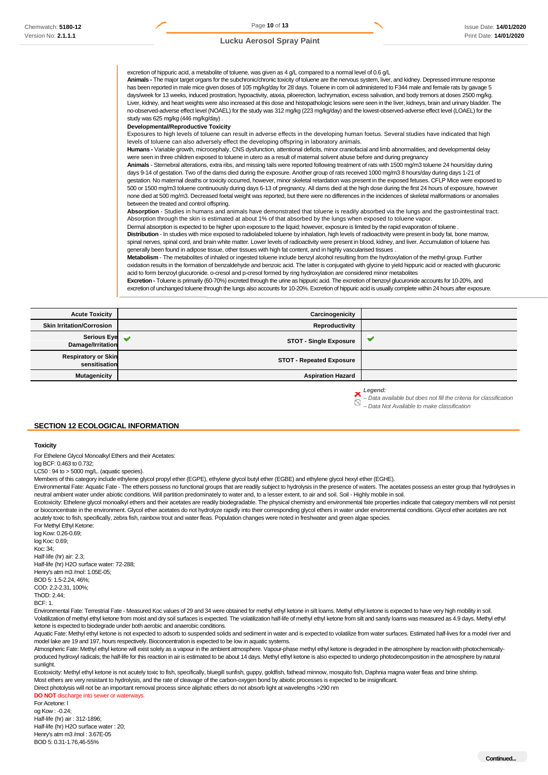Page **10** of **13** Issue Date: **14/01/2020**  Print Date: **14/01/2020**

#### **Lucku Aerosol Spray Paint**

excretion of hippuric acid, a metabolite of toluene, was given as 4 g/L compared to a normal level of 0.6 g/L **Animals -** The major target organs for the subchronic/chronic toxicity of toluene are the nervous system, liver, and kidney. Depressed immune response has been reported in male mice given doses of 105 mg/kg/day for 28 days. Toluene in corn oil administered to F344 male and female rats by gavage 5 days/week for 13 weeks, induced prostration, hypoactivity, ataxia, piloerection, lachrymation, excess salivation, and body tremors at doses 2500 mg/kg. Liver, kidney, and heart weights were also increased at this dose and histopathologic lesions were seen in the liver, kidneys, brain and urinary bladder. The no-observed-adverse effect level (NOAEL) for the study was 312 mg/kg (223 mg/kg/day) and the lowest-observed-adverse effect level (LOAEL) for the study was 625 mg/kg (446 mg/kg/day) . **Developmental/Reproductive Toxicity**  Exposures to high levels of toluene can result in adverse effects in the developing human foetus. Several studies have indicated that high levels of toluene can also adversely effect the developing offspring in laboratory animals. **Humans -** Variable growth, microcephaly, CNS dysfunction, attentional deficits, minor craniofacial and limb abnormalities, and developmental delay were seen in three children exposed to toluene in utero as a result of maternal solvent abuse before and during pregnancy **Animals** - Sternebral alterations, extra ribs, and missing tails were reported following treatment of rats with 1500 mg/m3 toluene 24 hours/day during days 9-14 of gestation. Two of the dams died during the exposure. Another group of rats received 1000 mg/m3 8 hours/day during days 1-21 of gestation. No maternal deaths or toxicity occurred, however, minor skeletal retardation was present in the exposed fetuses. CFLP Mice were exposed to 500 or 1500 mg/m3 toluene continuously during days 6-13 of pregnancy. All dams died at the high dose during the first 24 hours of exposure, however none died at 500 mg/m3. Decreased foetal weight was reported, but there were no differences in the incidences of skeletal malformations or anomalies between the treated and control offspring. **Absorption** - Studies in humans and animals have demonstrated that toluene is readily absorbed via the lungs and the gastrointestinal tract. Absorption through the skin is estimated at about 1% of that absorbed by the lungs when exposed to toluene vapor. Dermal absorption is expected to be higher upon exposure to the liquid; however, exposure is limited by the rapid evaporation of toluene . **Distribution** - In studies with mice exposed to radiolabeled toluene by inhalation, high levels of radioactivity were present in body fat, bone marrow, spinal nerves, spinal cord, and brain white matter. Lower levels of radioactivity were present in blood, kidney, and liver. Accumulation of toluene has generally been found in adipose tissue, other tissues with high fat content, and in highly vascularised tissues . **Metabolism** - The metabolites of inhaled or ingested toluene include benzyl alcohol resulting from the hydroxylation of the methyl group. Further

oxidation results in the formation of benzaldehyde and benzoic acid. The latter is conjugated with glycine to yield hippuric acid or reacted with glucuronic acid to form benzoyl glucuronide. o-cresol and p-cresol formed by ring hydroxylation are considered minor metabolites

**Excretion -** Toluene is primarily (60-70%) excreted through the urine as hippuric acid. The excretion of benzoyl glucuronide accounts for 10-20%, and excretion of unchanged toluene through the lungs also accounts for 10-20%. Excretion of hippuric acid is usually complete within 24 hours after exposure.

| <b>Acute Toxicity</b>                       | Carcinogenicity                 |  |
|---------------------------------------------|---------------------------------|--|
| <b>Skin Irritation/Corrosion</b>            | Reproductivity                  |  |
| Serious Eye<br>Damage/Irritation            | <b>STOT - Single Exposure</b>   |  |
| <b>Respiratory or Skin</b><br>sensitisation | <b>STOT - Repeated Exposure</b> |  |
| <b>Mutagenicity</b>                         | <b>Aspiration Hazard</b>        |  |

*Legend:* 

*– Data available but does not fill the criteria for classification* 

*– Data Not Available to make classification* 

#### **SECTION 12 ECOLOGICAL INFORMATION**

#### **Toxicity**

For Ethelene Glycol Monoalkyl Ethers and their Acetates:

log BCF: 0.463 to 0.732;

 $LC50 \cdot 94$  to  $> 5000$  mg/L. (aquatic species).

Members of this category include ethylene glycol propyl ether (EGPE), ethylene glycol butyl ether (EGBE) and ethylene glycol hexyl ether (EGHE).

Environmental Fate: Aquatic Fate - The ethers possess no functional groups that are readily subject to hydrolysis in the presence of waters. The acetates possess an ester group that hydrolyses in neutral ambient water under abiotic conditions. Will partition predominately to water and, to a lesser extent, to air and soil. Soil - Highly mobile in soil.

Ecotoxicity: Ethelene glycol monoalkyl ethers and their acetates are readily biodegradable. The physical chemistry and environmental fate properties indicate that category members will not persist or bioconcentrate in the environment. Glycol ether acetates do not hydrolyze rapidly into their corresponding glycol ethers in water under environmental conditions. Glycol ether acetates are not acutely toxic to fish, specifically, zebra fish, rainbow trout and water fleas. Population changes were noted in freshwater and green algae species.

For Methyl Ethyl Ketone: log Kow: 0.26-0.69; log Koc: 0.69;  $K<sub>OC</sub>: 34$ Half-life (hr) air: 2.3; Half-life (hr) H2O surface water: 72-288; Henry's atm m3 /mol: 1.05E-05; BOD 5: 1.5-2.24, 46%; COD: 2.2-2.31, 100%; Th $OD: 2.44$ BCF: 1.

Environmental Fate: Terrestrial Fate - Measured Koc values of 29 and 34 were obtained for methyl ethyl ketone in silt loams. Methyl ethyl ketone is expected to have very high mobility in soil. Volatilization of methyl ethyl ketone from moist and dry soil surfaces is expected. The volatilization half-life of methyl ethyl ketone from silt and sandy loams was measured as 4.9 days. Methyl ethyl ketone is expected to biodegrade under both aerobic and anaerobic conditions.

Aquatic Fate: Methyl ethyl ketone is not expected to adsorb to suspended solids and sediment in water and is expected to volatilize from water surfaces. Estimated half-lives for a model river and model lake are 19 and 197, hours respectively. Bioconcentration is expected to be low in aquatic systems.

Atmospheric Fate: Methyl ethyl ketone will exist solely as a vapour in the ambient atmosphere. Vapour-phase methyl ethyl ketone is degraded in the atmosphere by reaction with photochemicallyproduced hydroxyl radicals; the half-life for this reaction in air is estimated to be about 14 days. Methyl ethyl ketone is also expected to undergo photodecomposition in the atmosphere by natural sunlight.

Ecotoxicity: Methyl ethyl ketone is not acutely toxic to fish, specifically, bluegill sunfish, guppy, goldfish, fathead minnow, mosquito fish, Daphnia magna water fleas and brine shrimp. Most ethers are very resistant to hydrolysis, and the rate of cleavage of the carbon-oxygen bond by abiotic processes is expected to be insignificant. Direct photolysis will not be an important removal process since aliphatic ethers do not absorb light at wavelengths >290 nm

**DO NOT** discharge into sewer or waterways

For Acetone: l

og Kow : -0.24; Half-life (hr) air : 312-1896; Half-life (hr) H2O surface water : 20; Henry's atm m3 /mol : 3.67E-05 BOD 5: 0.31-1.76,46-55%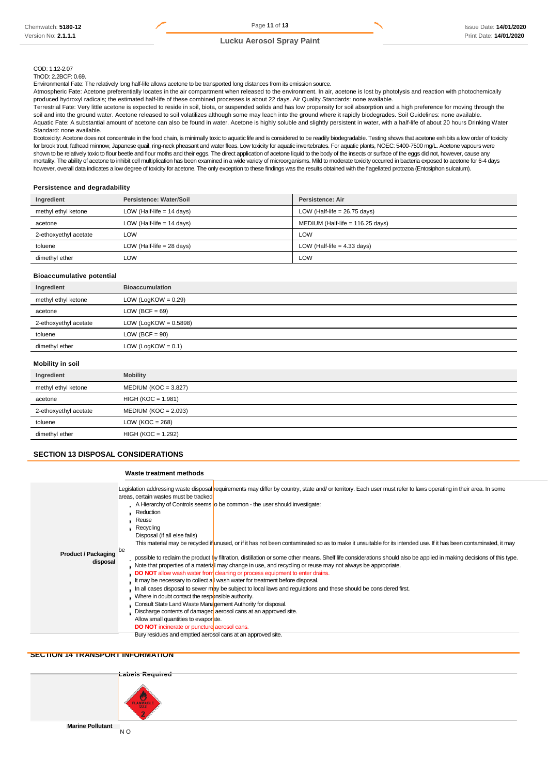Page **11** of **13** Issue Date: **14/01/2020**  Print Date: **14/01/2020**

#### **Lucku Aerosol Spray Paint**

#### COD: 1.12-2.07 ThOD: 2.2BCF: 0.69.

Environmental Fate: The relatively long half-life allows acetone to be transported long distances from its emission source.

Atmospheric Fate: Acetone preferentially locates in the air compartment when released to the environment. In air, acetone is lost by photolysis and reaction with photochemically produced hydroxyl radicals; the estimated half-life of these combined processes is about 22 days. Air Quality Standards: none available.

Terrestrial Fate: Very little acetone is expected to reside in soil, biota, or suspended solids and has low propensity for soil absorption and a high preference for moving through the soil and into the ground water. Acetone released to soil volatilizes although some may leach into the ground where it rapidly biodegrades. Soil Guidelines: none available. Aquatic Fate: A substantial amount of acetone can also be found in water. Acetone is highly soluble and slightly persistent in water, with a half-life of about 20 hours Drinking Water Standard: none available.

Ecotoxicity: Acetone does not concentrate in the food chain, is minimally toxic to aquatic life and is considered to be readily biodegradable. Testing shows that acetone exhibits a low order of toxicity for brook trout, fathead minnow, Japanese quail, ring-neck pheasant and water fleas. Low toxicity for aquatic invertebrates. For aquatic plants, NOEC: 5400-7500 mg/L. Acetone vapours were shown to be relatively toxic to flour beetle and flour moths and their eggs. The direct application of acetone liquid to the body of the insects or surface of the eggs did not, however, cause any mortality. The ability of acetone to inhibit cell multiplication has been examined in a wide variety of microorganisms. Mild to moderate toxicity occurred in bacteria exposed to acetone for 6-4 days however, overall data indicates a low degree of toxicity for acetone. The only exception to these findings was the results obtained with the flagellated protozoa (Entosiphon sulcatum).

#### **Persistence and degradability**

| Ingredient            | Persistence: Water/Soil     | Persistence: Air                   |
|-----------------------|-----------------------------|------------------------------------|
| methyl ethyl ketone   | LOW (Half-life $= 14$ days) | LOW (Half-life = $26.75$ days)     |
| acetone               | LOW (Half-life $= 14$ days) | MEDIUM (Half-life = $116.25$ days) |
| 2-ethoxyethyl acetate | LOW                         | LOW                                |
| toluene               | LOW (Half-life $= 28$ days) | LOW (Half-life $=$ 4.33 days)      |
| dimethyl ether        | LOW.                        | LOW                                |

# **Bioaccumulative potential**

| Ingredient            | <b>Bioaccumulation</b>   |
|-----------------------|--------------------------|
| methyl ethyl ketone   | LOW (LogKOW = $0.29$ )   |
| acetone               | $LOW (BCF = 69)$         |
| 2-ethoxyethyl acetate | LOW (LogKOW = $0.5898$ ) |
| toluene               | $LOW (BCF = 90)$         |
| dimethyl ether        | LOW (LogKOW = $0.1$ )    |
|                       |                          |

### **Mobility in soil**

| Ingredient            | <b>Mobility</b>        |
|-----------------------|------------------------|
| methyl ethyl ketone   | $MEDIUM (KOC = 3.827)$ |
| acetone               | $HIGH (KOC = 1.981)$   |
| 2-ethoxyethyl acetate | $MEDIUM (KOC = 2.093)$ |
| toluene               | LOW ( $KOC = 268$ )    |
| dimethyl ether        | $HIGH (KOC = 1.292)$   |
|                       |                        |

# **SECTION 13 DISPOSAL CONSIDERATIONS**

#### **Waste treatment methods**

|                                        | Legislation addressing waste disposal requirements may differ by country, state and/ or territory. Each user must refer to laws operating in their area. In some<br>areas, certain wastes must be tracked                                                                                                                                                                      |
|----------------------------------------|--------------------------------------------------------------------------------------------------------------------------------------------------------------------------------------------------------------------------------------------------------------------------------------------------------------------------------------------------------------------------------|
|                                        | . A Hierarchy of Controls seems to be common - the user should investigate:                                                                                                                                                                                                                                                                                                    |
|                                        | Reduction                                                                                                                                                                                                                                                                                                                                                                      |
|                                        | Reuse                                                                                                                                                                                                                                                                                                                                                                          |
|                                        | $\mathsf{Rec}$ ycling                                                                                                                                                                                                                                                                                                                                                          |
|                                        | Disposal (if all else fails)                                                                                                                                                                                                                                                                                                                                                   |
|                                        | This material may be recycled if unused, or if it has not been contaminated so as to make it unsuitable for its intended use. If it has been contaminated, it may                                                                                                                                                                                                              |
| <b>Product / Packaging</b><br>disposal | be<br>possible to reclaim the product by filtration, distillation or some other means. Shelf life considerations should also be applied in making decisions of this type.<br>Note that properties of a material may change in use, and recycling or reuse may not always be appropriate.<br><b>DO NOT</b> allow wash water from cleaning or process equipment to enter drains. |
|                                        | It may be necessary to collect a wash water for treatment before disposal.                                                                                                                                                                                                                                                                                                     |
|                                        | In all cases disposal to sewer may be subject to local laws and regulations and these should be considered first.                                                                                                                                                                                                                                                              |
|                                        | Where in doubt contact the responsible authority.                                                                                                                                                                                                                                                                                                                              |
|                                        | Consult State Land Waste Management Authority for disposal.                                                                                                                                                                                                                                                                                                                    |
|                                        | Discharge contents of damaged aerosol cans at an approved site.                                                                                                                                                                                                                                                                                                                |
|                                        | Allow small quantities to evaporate.                                                                                                                                                                                                                                                                                                                                           |
|                                        | <b>DO NOT</b> incinerate or puncture aerosol cans.                                                                                                                                                                                                                                                                                                                             |
|                                        | Bury residues and emptied aerosol cans at an approved site.                                                                                                                                                                                                                                                                                                                    |

#### **SECTION 14 TRANSPORT INFORMATION**

**Labels Required Marine Pollutant**  N O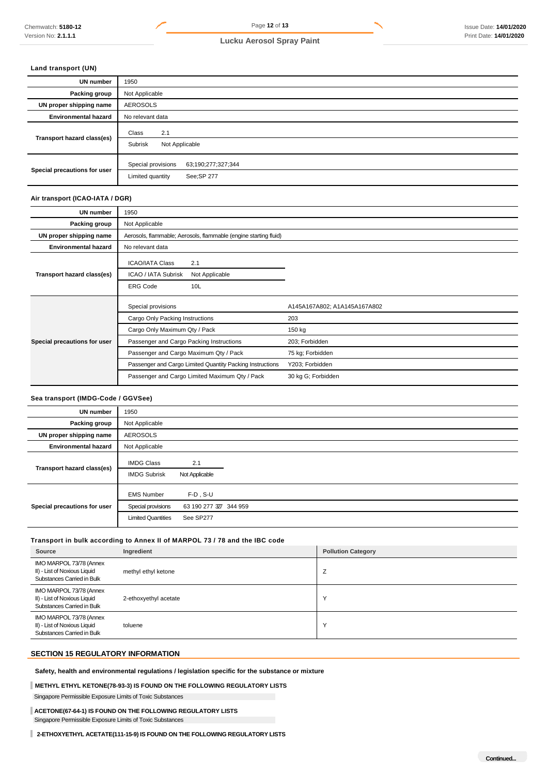# **Land transport (UN)**

| <b>UN number</b>             | 1950                                                                        |  |  |
|------------------------------|-----------------------------------------------------------------------------|--|--|
| Packing group                | Not Applicable                                                              |  |  |
| UN proper shipping name      | <b>AEROSOLS</b>                                                             |  |  |
| <b>Environmental hazard</b>  | No relevant data                                                            |  |  |
| Transport hazard class(es)   | 2.1<br>Class<br>Subrisk<br>Not Applicable                                   |  |  |
| Special precautions for user | Special provisions<br>63;190;277;327;344<br>See; SP 277<br>Limited quantity |  |  |

#### **Air transport (ICAO-IATA / DGR)**

| UN number                    | 1950                                                             |                              |
|------------------------------|------------------------------------------------------------------|------------------------------|
| Packing group                | Not Applicable                                                   |                              |
| UN proper shipping name      | Aerosols, flammable; Aerosols, flammable (engine starting fluid) |                              |
| <b>Environmental hazard</b>  | No relevant data                                                 |                              |
| Transport hazard class(es)   | <b>ICAO/IATA Class</b><br>2.1                                    |                              |
|                              | ICAO / IATA Subrisk<br>Not Applicable                            |                              |
|                              | <b>ERG Code</b><br>10L                                           |                              |
|                              |                                                                  |                              |
|                              | Special provisions                                               | A145A167A802; A1A145A167A802 |
|                              | Cargo Only Packing Instructions                                  | 203                          |
|                              | Cargo Only Maximum Qty / Pack                                    | 150 kg                       |
| Special precautions for user | Passenger and Cargo Packing Instructions                         | 203; Forbidden               |
|                              | Passenger and Cargo Maximum Qty / Pack                           | 75 kg; Forbidden             |
|                              | Passenger and Cargo Limited Quantity Packing Instructions        | Y203; Forbidden              |

# **Sea transport (IMDG-Code / GGVSee)**

| UN number                    | 1950                                                                 |                                                    |  |
|------------------------------|----------------------------------------------------------------------|----------------------------------------------------|--|
| Packing group                | Not Applicable                                                       |                                                    |  |
| UN proper shipping name      | <b>AEROSOLS</b>                                                      |                                                    |  |
| <b>Environmental hazard</b>  | Not Applicable                                                       |                                                    |  |
| Transport hazard class(es)   | <b>IMDG Class</b><br><b>IMDG Subrisk</b>                             | 2.1<br>Not Applicable                              |  |
| Special precautions for user | <b>EMS Number</b><br>Special provisions<br><b>Limited Quantities</b> | $F-D$ , S-U<br>63 190 277 327 344 959<br>See SP277 |  |

# **Transport in bulk according to Annex II of MARPOL 73 / 78 and the IBC code**

| Source                                                                                | Ingredient            | <b>Pollution Category</b> |
|---------------------------------------------------------------------------------------|-----------------------|---------------------------|
| IMO MARPOL 73/78 (Annex<br>II) - List of Noxious Liquid<br>Substances Carried in Bulk | methyl ethyl ketone   | ∠                         |
| IMO MARPOL 73/78 (Annex<br>II) - List of Noxious Liquid<br>Substances Carried in Bulk | 2-ethoxyethyl acetate | $\checkmark$              |
| IMO MARPOL 73/78 (Annex<br>II) - List of Noxious Liquid<br>Substances Carried in Bulk | toluene               | $\checkmark$              |

# **SECTION 15 REGULATORY INFORMATION**

**Safety, health and environmental regulations / legislation specific for the substance or mixture** 

# **METHYL ETHYL KETONE(78-93-3) IS FOUND ON THE FOLLOWING REGULATORY LISTS**

Singapore Permissible Exposure Limits of Toxic Substances

# **ACETONE(67-64-1) IS FOUND ON THE FOLLOWING REGULATORY LISTS**  Singapore Permissible Exposure Limits of Toxic Substances

**2-ETHOXYETHYL ACETATE(111-15-9) IS FOUND ON THE FOLLOWING REGULATORY LISTS**